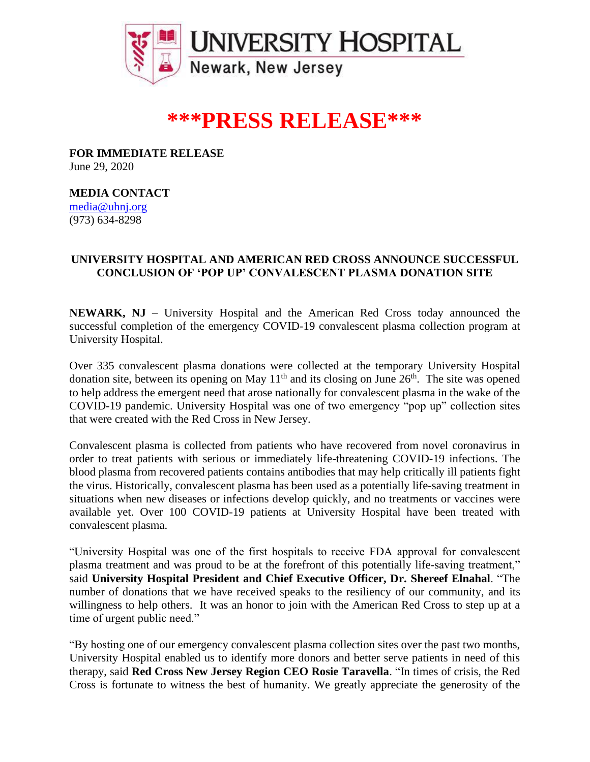

# **\*\*\*PRESS RELEASE\*\*\***

**FOR IMMEDIATE RELEASE** June 29, 2020

# **MEDIA CONTACT**

[media@uhnj.org](mailto:media@uhnj.org)  (973) 634-8298

## **UNIVERSITY HOSPITAL AND AMERICAN RED CROSS ANNOUNCE SUCCESSFUL CONCLUSION OF 'POP UP' CONVALESCENT PLASMA DONATION SITE**

**NEWARK, NJ** – University Hospital and the American Red Cross today announced the successful completion of the emergency COVID-19 convalescent plasma collection program at University Hospital.

Over 335 convalescent plasma donations were collected at the temporary University Hospital donation site, between its opening on May  $11<sup>th</sup>$  and its closing on June  $26<sup>th</sup>$ . The site was opened to help address the emergent need that arose nationally for convalescent plasma in the wake of the COVID-19 pandemic. University Hospital was one of two emergency "pop up" collection sites that were created with the Red Cross in New Jersey.

Convalescent plasma is collected from patients who have recovered from novel coronavirus in order to treat patients with serious or immediately life-threatening COVID-19 infections. The blood plasma from recovered patients contains antibodies that may help critically ill patients fight the virus. Historically, convalescent plasma has been used as a potentially life-saving treatment in situations when new diseases or infections develop quickly, and no treatments or vaccines were available yet. Over 100 COVID-19 patients at University Hospital have been treated with convalescent plasma.

"University Hospital was one of the first hospitals to receive FDA approval for convalescent plasma treatment and was proud to be at the forefront of this potentially life-saving treatment," said **University Hospital President and Chief Executive Officer, Dr. Shereef Elnahal**. "The number of donations that we have received speaks to the resiliency of our community, and its willingness to help others. It was an honor to join with the American Red Cross to step up at a time of urgent public need."

"By hosting one of our emergency convalescent plasma collection sites over the past two months, University Hospital enabled us to identify more donors and better serve patients in need of this therapy, said **Red Cross New Jersey Region CEO Rosie Taravella**. "In times of crisis, the Red Cross is fortunate to witness the best of humanity. We greatly appreciate the generosity of the